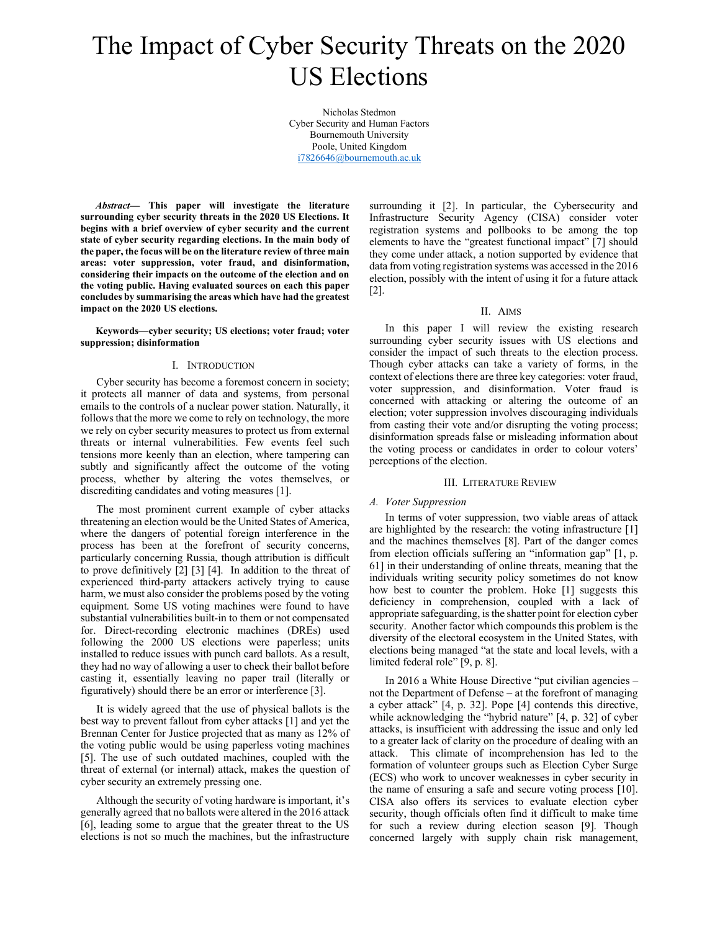# The Impact of Cyber Security Threats on the 2020 US Elections

Nicholas Stedmon Cyber Security and Human Factors Bournemouth University Poole, United Kingdom i7826646@bournemouth.ac.uk

Abstract— This paper will investigate the literature surrounding cyber security threats in the 2020 US Elections. It begins with a brief overview of cyber security and the current state of cyber security regarding elections. In the main body of the paper, the focus will be on the literature review of three main areas: voter suppression, voter fraud, and disinformation, considering their impacts on the outcome of the election and on the voting public. Having evaluated sources on each this paper concludes by summarising the areas which have had the greatest impact on the 2020 US elections.

Keywords—cyber security; US elections; voter fraud; voter suppression; disinformation

#### I. INTRODUCTION

Cyber security has become a foremost concern in society; it protects all manner of data and systems, from personal emails to the controls of a nuclear power station. Naturally, it follows that the more we come to rely on technology, the more we rely on cyber security measures to protect us from external threats or internal vulnerabilities. Few events feel such tensions more keenly than an election, where tampering can subtly and significantly affect the outcome of the voting process, whether by altering the votes themselves, or discrediting candidates and voting measures [1].

The most prominent current example of cyber attacks threatening an election would be the United States of America, where the dangers of potential foreign interference in the process has been at the forefront of security concerns, particularly concerning Russia, though attribution is difficult to prove definitively [2] [3] [4]. In addition to the threat of experienced third-party attackers actively trying to cause harm, we must also consider the problems posed by the voting equipment. Some US voting machines were found to have substantial vulnerabilities built-in to them or not compensated for. Direct-recording electronic machines (DREs) used following the 2000 US elections were paperless; units installed to reduce issues with punch card ballots. As a result, they had no way of allowing a user to check their ballot before casting it, essentially leaving no paper trail (literally or figuratively) should there be an error or interference [3].

It is widely agreed that the use of physical ballots is the best way to prevent fallout from cyber attacks [1] and yet the Brennan Center for Justice projected that as many as 12% of the voting public would be using paperless voting machines [5]. The use of such outdated machines, coupled with the threat of external (or internal) attack, makes the question of cyber security an extremely pressing one.

Although the security of voting hardware is important, it's generally agreed that no ballots were altered in the 2016 attack [6], leading some to argue that the greater threat to the US elections is not so much the machines, but the infrastructure surrounding it [2]. In particular, the Cybersecurity and Infrastructure Security Agency (CISA) consider voter registration systems and pollbooks to be among the top elements to have the "greatest functional impact" [7] should they come under attack, a notion supported by evidence that data from voting registration systems was accessed in the 2016 election, possibly with the intent of using it for a future attack [2].

## II. AIMS

In this paper I will review the existing research surrounding cyber security issues with US elections and consider the impact of such threats to the election process. Though cyber attacks can take a variety of forms, in the context of elections there are three key categories: voter fraud, voter suppression, and disinformation. Voter fraud is concerned with attacking or altering the outcome of an election; voter suppression involves discouraging individuals from casting their vote and/or disrupting the voting process; disinformation spreads false or misleading information about the voting process or candidates in order to colour voters' perceptions of the election.

#### III. LITERATURE REVIEW

#### A. Voter Suppression

In terms of voter suppression, two viable areas of attack are highlighted by the research: the voting infrastructure [1] and the machines themselves [8]. Part of the danger comes from election officials suffering an "information gap" [1, p. 61] in their understanding of online threats, meaning that the individuals writing security policy sometimes do not know how best to counter the problem. Hoke [1] suggests this deficiency in comprehension, coupled with a lack of appropriate safeguarding, is the shatter point for election cyber security. Another factor which compounds this problem is the diversity of the electoral ecosystem in the United States, with elections being managed "at the state and local levels, with a limited federal role" [9, p. 8].

In 2016 a White House Directive "put civilian agencies – not the Department of Defense – at the forefront of managing a cyber attack" [4, p. 32]. Pope [4] contends this directive, while acknowledging the "hybrid nature" [4, p. 32] of cyber attacks, is insufficient with addressing the issue and only led to a greater lack of clarity on the procedure of dealing with an attack. This climate of incomprehension has led to the formation of volunteer groups such as Election Cyber Surge (ECS) who work to uncover weaknesses in cyber security in the name of ensuring a safe and secure voting process [10]. CISA also offers its services to evaluate election cyber security, though officials often find it difficult to make time for such a review during election season [9]. Though concerned largely with supply chain risk management,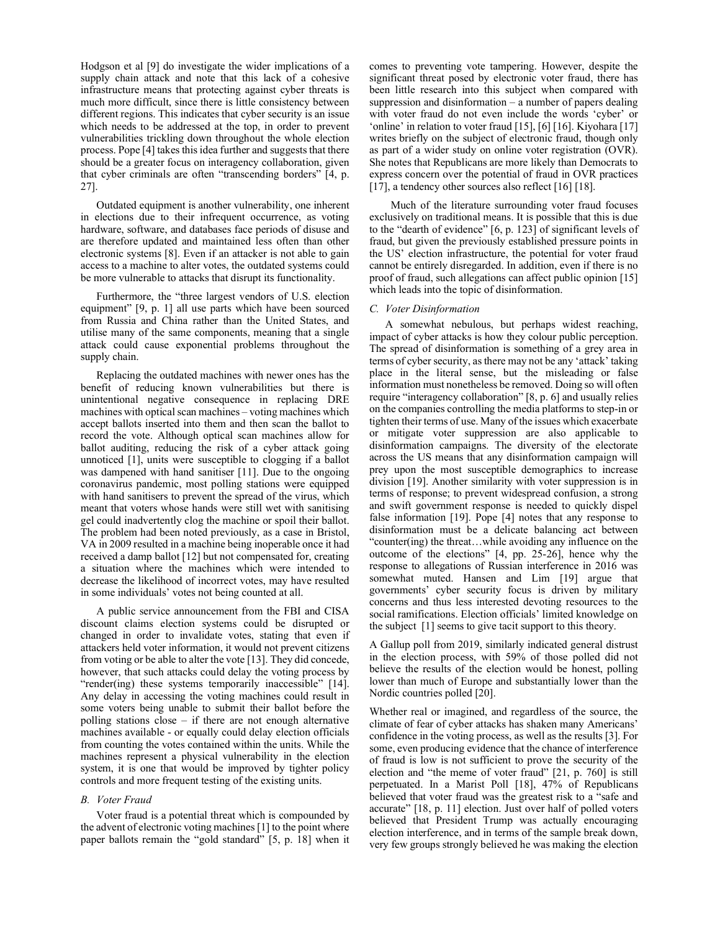Hodgson et al [9] do investigate the wider implications of a supply chain attack and note that this lack of a cohesive infrastructure means that protecting against cyber threats is much more difficult, since there is little consistency between different regions. This indicates that cyber security is an issue which needs to be addressed at the top, in order to prevent vulnerabilities trickling down throughout the whole election process. Pope [4] takes this idea further and suggests that there should be a greater focus on interagency collaboration, given that cyber criminals are often "transcending borders" [4, p. 27].

Outdated equipment is another vulnerability, one inherent in elections due to their infrequent occurrence, as voting hardware, software, and databases face periods of disuse and are therefore updated and maintained less often than other electronic systems [8]. Even if an attacker is not able to gain access to a machine to alter votes, the outdated systems could be more vulnerable to attacks that disrupt its functionality.

Furthermore, the "three largest vendors of U.S. election equipment" [9, p. 1] all use parts which have been sourced from Russia and China rather than the United States, and utilise many of the same components, meaning that a single attack could cause exponential problems throughout the supply chain.

Replacing the outdated machines with newer ones has the benefit of reducing known vulnerabilities but there is unintentional negative consequence in replacing DRE machines with optical scan machines – voting machines which accept ballots inserted into them and then scan the ballot to record the vote. Although optical scan machines allow for ballot auditing, reducing the risk of a cyber attack going unnoticed [1], units were susceptible to clogging if a ballot was dampened with hand sanitiser [11]. Due to the ongoing coronavirus pandemic, most polling stations were equipped with hand sanitisers to prevent the spread of the virus, which meant that voters whose hands were still wet with sanitising gel could inadvertently clog the machine or spoil their ballot. The problem had been noted previously, as a case in Bristol, VA in 2009 resulted in a machine being inoperable once it had received a damp ballot [12] but not compensated for, creating a situation where the machines which were intended to decrease the likelihood of incorrect votes, may have resulted in some individuals' votes not being counted at all.

A public service announcement from the FBI and CISA discount claims election systems could be disrupted or changed in order to invalidate votes, stating that even if attackers held voter information, it would not prevent citizens from voting or be able to alter the vote [13]. They did concede, however, that such attacks could delay the voting process by "render(ing) these systems temporarily inaccessible" [14]. Any delay in accessing the voting machines could result in some voters being unable to submit their ballot before the polling stations close – if there are not enough alternative machines available - or equally could delay election officials from counting the votes contained within the units. While the machines represent a physical vulnerability in the election system, it is one that would be improved by tighter policy controls and more frequent testing of the existing units.

# B. Voter Fraud

Voter fraud is a potential threat which is compounded by the advent of electronic voting machines [1] to the point where paper ballots remain the "gold standard" [5, p. 18] when it comes to preventing vote tampering. However, despite the significant threat posed by electronic voter fraud, there has been little research into this subject when compared with suppression and disinformation – a number of papers dealing with voter fraud do not even include the words 'cyber' or 'online' in relation to voter fraud [15], [6] [16]. Kiyohara [17] writes briefly on the subject of electronic fraud, though only as part of a wider study on online voter registration (OVR). She notes that Republicans are more likely than Democrats to express concern over the potential of fraud in OVR practices [17], a tendency other sources also reflect [16] [18].

 Much of the literature surrounding voter fraud focuses exclusively on traditional means. It is possible that this is due to the "dearth of evidence" [6, p. 123] of significant levels of fraud, but given the previously established pressure points in the US' election infrastructure, the potential for voter fraud cannot be entirely disregarded. In addition, even if there is no proof of fraud, such allegations can affect public opinion [15] which leads into the topic of disinformation.

## C. Voter Disinformation

 A somewhat nebulous, but perhaps widest reaching, impact of cyber attacks is how they colour public perception. The spread of disinformation is something of a grey area in terms of cyber security, as there may not be any 'attack' taking place in the literal sense, but the misleading or false information must nonetheless be removed. Doing so will often require "interagency collaboration" [8, p. 6] and usually relies on the companies controlling the media platforms to step-in or tighten their terms of use. Many of the issues which exacerbate or mitigate voter suppression are also applicable to disinformation campaigns. The diversity of the electorate across the US means that any disinformation campaign will prey upon the most susceptible demographics to increase division [19]. Another similarity with voter suppression is in terms of response; to prevent widespread confusion, a strong and swift government response is needed to quickly dispel false information [19]. Pope [4] notes that any response to disinformation must be a delicate balancing act between "counter(ing) the threat…while avoiding any influence on the outcome of the elections" [4, pp. 25-26], hence why the response to allegations of Russian interference in 2016 was somewhat muted. Hansen and Lim [19] argue that governments' cyber security focus is driven by military concerns and thus less interested devoting resources to the social ramifications. Election officials' limited knowledge on the subject [1] seems to give tacit support to this theory.

A Gallup poll from 2019, similarly indicated general distrust in the election process, with 59% of those polled did not believe the results of the election would be honest, polling lower than much of Europe and substantially lower than the Nordic countries polled [20].

Whether real or imagined, and regardless of the source, the climate of fear of cyber attacks has shaken many Americans' confidence in the voting process, as well as the results [3]. For some, even producing evidence that the chance of interference of fraud is low is not sufficient to prove the security of the election and "the meme of voter fraud" [21, p. 760] is still perpetuated. In a Marist Poll [18], 47% of Republicans believed that voter fraud was the greatest risk to a "safe and accurate" [18, p. 11] election. Just over half of polled voters believed that President Trump was actually encouraging election interference, and in terms of the sample break down, very few groups strongly believed he was making the election